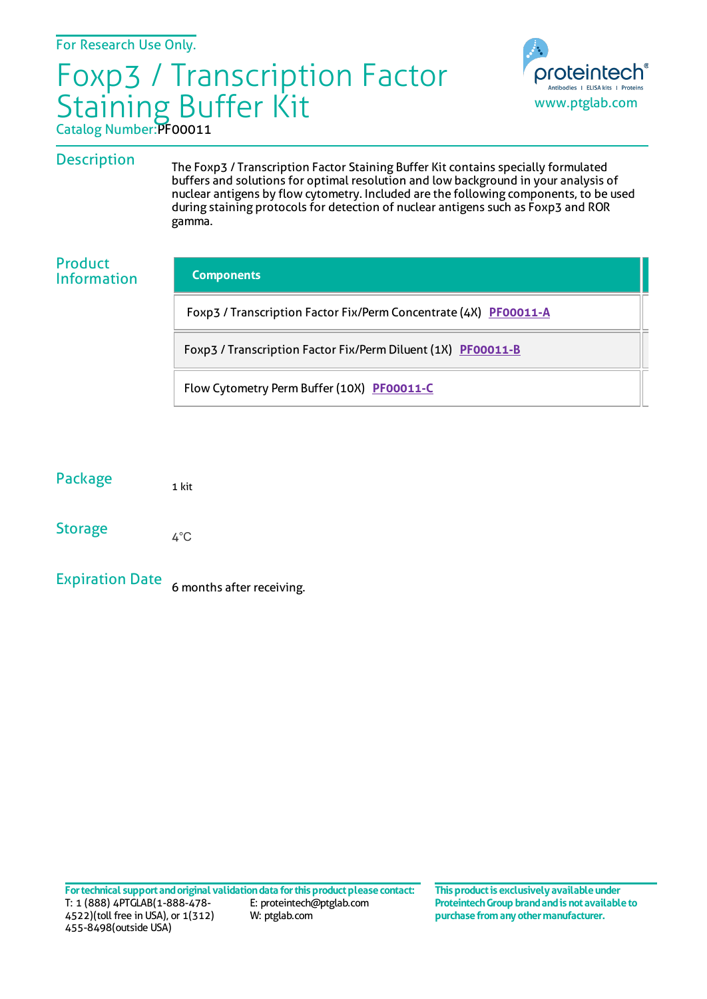# Catalog Number:PF00011 Foxp3 / Transcription Factor Staining Buffer Kit



## **Description**

The Foxp3 / Transcription Factor Staining Buffer Kit contains specially formulated buffers and solutions for optimal resolution and low background in your analysis of nuclear antigens by flow cytometry. Included are the following components, to be used during staining protocols for detection of nuclear antigens such as Foxp3 and ROR gamma.

### Product Information

#### **Components**

Foxp3 / Transcription Factor Fix/Perm Concentrate (4X) [PF00011-A](https://www.ptglab.com/products/Foxp3-Transcription-Factor-Fix-Perm-Concentrate-4X-PF00011-A.htm?i=0.41748508342634194)

Foxp3 / Transcription Factor Fix/Perm Diluent (1X) [PF00011-B](https://www.ptglab.com/products/Foxp3-Transcription-Factor-Fix-Perm-Diluent-1X-PF00011-B.htm?i=0.24616673743652018)

Flow Cytometry Perm Buffer (10X) [PF00011-C](https://www.ptglab.com/products/Flow-Cytometry-Perm-Buffer-10X-PF00011-C.htm?i=0.29652517018840063)

| Package        | 1 kit |
|----------------|-------|
| <b>Storage</b> | 4°C   |

Expiration Date 6 months after receiving.